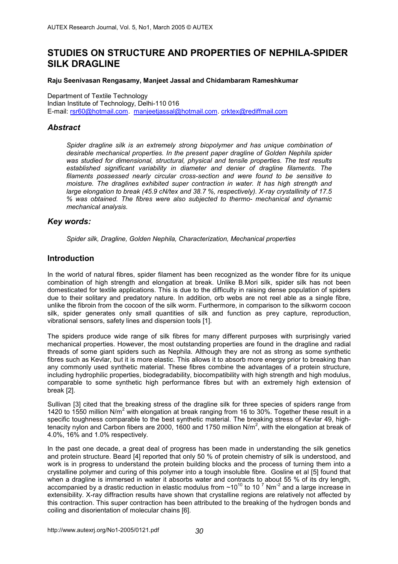# **STUDIES ON STRUCTURE AND PROPERTIES OF NEPHILA-SPIDER SILK DRAGLINE**

#### **Raju Seenivasan Rengasamy, Manjeet Jassal and Chidambaram Rameshkumar**

Department of Textile Technology Indian Institute of Technology, Delhi-110 016 E-mail: rsr60@hotmail.com. manjeetjassal@hotmail.com. crktex@rediffmail.com

# *Abstract*

Spider dragline silk is an extremely strong biopolymer and has unique combination of *desirable mechanical properties. In the present paper dragline of Golden Nephila spider was studied for dimensional, structural, physical and tensile properties. The test results established significant variability in diameter and denier of dragline filaments. The filaments possessed nearly circular cross-section and were found to be sensitive to moisture. The draglines exhibited super contraction in water. It has high strength and large elongation to break (45.9 cN/tex and 38.7 %, respectively). X-ray crystallinity of 17.5 % was obtained. The fibres were also subjected to thermo- mechanical and dynamic mechanical analysis.* 

# *Key words:*

*Spider silk, Dragline, Golden Nephila, Characterization, Mechanical properties*

# **Introduction**

In the world of natural fibres, spider filament has been recognized as the wonder fibre for its unique combination of high strength and elongation at break. Unlike B.Mori silk, spider silk has not been domesticated for textile applications. This is due to the difficulty in raising dense population of spiders due to their solitary and predatory nature. In addition, orb webs are not reel able as a single fibre, unlike the fibroin from the cocoon of the silk worm. Furthermore, in comparison to the silkworm cocoon silk, spider generates only small quantities of silk and function as prey capture, reproduction, vibrational sensors, safety lines and dispersion tools [1].

The spiders produce wide range of silk fibres for many different purposes with surprisingly varied mechanical properties. However, the most outstanding properties are found in the dragline and radial threads of some giant spiders such as Nephila. Although they are not as strong as some synthetic fibres such as Kevlar, but it is more elastic. This allows it to absorb more energy prior to breaking than any commonly used synthetic material. These fibres combine the advantages of a protein structure, including hydrophilic properties, biodegradability, biocompatibility with high strength and high modulus, comparable to some synthetic high performance fibres but with an extremely high extension of break [2].

Sullivan [3] cited that the breaking stress of the dragline silk for three species of spiders range from 1420 to 1550 million N/m<sup>2</sup> with elongation at break ranging from 16 to 30%. Together these result in a specific toughness comparable to the best synthetic material. The breaking stress of Kevlar 49, hightenacity nylon and Carbon fibers are 2000, 1600 and 1750 million N/m<sup>2</sup>, with the elongation at break of 4.0%, 16% and 1.0% respectively.

In the past one decade, a great deal of progress has been made in understanding the silk genetics and protein structure. Beard [4] reported that only 50 % of protein chemistry of silk is understood, and work is in progress to understand the protein building blocks and the process of turning them into a crystalline polymer and curing of this polymer into a tough insoluble fibre. Gosline et al [5] found that when a dragline is immersed in water it absorbs water and contracts to about 55 % of its dry length, accompanied by a drastic reduction in elastic modulus from  $\sim$ 10<sup>10</sup> to 10<sup>7</sup> Nm<sup>-2</sup> and a large increase in extensibility. X-ray diffraction results have shown that crystalline regions are relatively not affected by this contraction. This super contraction has been attributed to the breaking of the hydrogen bonds and coiling and disorientation of molecular chains [6].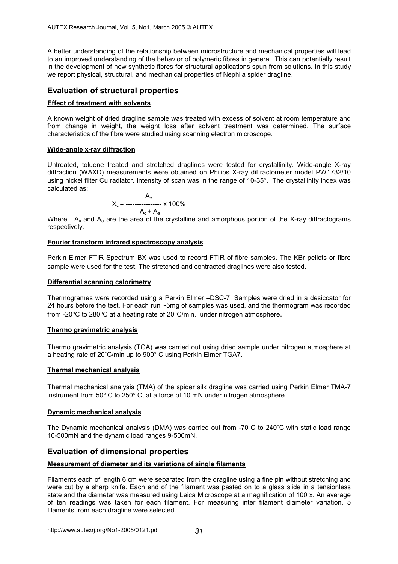A better understanding of the relationship between microstructure and mechanical properties will lead to an improved understanding of the behavior of polymeric fibres in general. This can potentially result in the development of new synthetic fibres for structural applications spun from solutions. In this study we report physical, structural, and mechanical properties of Nephila spider dragline.

# **Evaluation of structural properties**

### **Effect of treatment with solvents**

A known weight of dried dragline sample was treated with excess of solvent at room temperature and from change in weight, the weight loss after solvent treatment was determined. The surface characteristics of the fibre were studied using scanning electron microscope.

# **Wide-angle x-ray diffraction**

Untreated, toluene treated and stretched draglines were tested for crystallinity. Wide-angle X-ray diffraction (WAXD) measurements were obtained on Philips X-ray diffractometer model PW1732/10 using nickel filter Cu radiator. Intensity of scan was in the range of 10-35°. The crystallinity index was calculated as:

$$
X_c = \frac{A_c}{A_c + A_a} \times 100\%
$$

Where  $A<sub>c</sub>$  and  $A<sub>a</sub>$  are the area of the crystalline and amorphous portion of the X-ray diffractograms respectively.

#### **Fourier transform infrared spectroscopy analysis**

Perkin Elmer FTIR Spectrum BX was used to record FTIR of fibre samples. The KBr pellets or fibre sample were used for the test. The stretched and contracted draglines were also tested.

#### **Differential scanning calorimetry**

Thermogrames were recorded using a Perkin Elmer –DSC-7. Samples were dried in a desiccator for 24 hours before the test. For each run ~5mg of samples was used, and the thermogram was recorded from -20°C to 280°C at a heating rate of 20°C/min., under nitrogen atmosphere.

#### **Thermo gravimetric analysis**

Thermo gravimetric analysis (TGA) was carried out using dried sample under nitrogen atmosphere at a heating rate of 20˚C/min up to 900° C using Perkin Elmer TGA7.

# **Thermal mechanical analysis**

Thermal mechanical analysis (TMA) of the spider silk dragline was carried using Perkin Elmer TMA-7 instrument from 50° C to 250° C, at a force of 10 mN under nitrogen atmosphere.

#### **Dynamic mechanical analysis**

The Dynamic mechanical analysis (DMA) was carried out from -70˚C to 240˚C with static load range 10-500mN and the dynamic load ranges 9-500mN.

# **Evaluation of dimensional properties**

# **Measurement of diameter and its variations of single filaments**

Filaments each of length 6 cm were separated from the dragline using a fine pin without stretching and were cut by a sharp knife. Each end of the filament was pasted on to a glass slide in a tensionless state and the diameter was measured using Leica Microscope at a magnification of 100 x. An average of ten readings was taken for each filament. For measuring inter filament diameter variation, 5 filaments from each dragline were selected.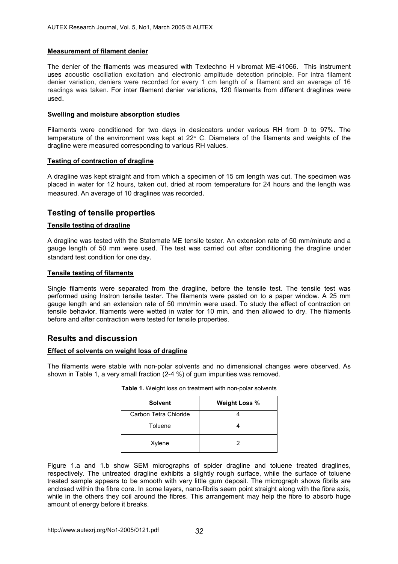# **Measurement of filament denier**

The denier of the filaments was measured with Textechno H vibromat ME-41066. This instrument uses acoustic oscillation excitation and electronic amplitude detection principle. For intra filament denier variation, deniers were recorded for every 1 cm length of a filament and an average of 16 readings was taken. For inter filament denier variations, 120 filaments from different draglines were used.

#### **Swelling and moisture absorption studies**

Filaments were conditioned for two days in desiccators under various RH from 0 to 97%. The temperature of the environment was kept at 22° C. Diameters of the filaments and weights of the dragline were measured corresponding to various RH values.

#### **Testing of contraction of dragline**

A dragline was kept straight and from which a specimen of 15 cm length was cut. The specimen was placed in water for 12 hours, taken out, dried at room temperature for 24 hours and the length was measured. An average of 10 draglines was recorded.

# **Testing of tensile properties**

### **Tensile testing of dragline**

A dragline was tested with the Statemate ME tensile tester. An extension rate of 50 mm/minute and a gauge length of 50 mm were used. The test was carried out after conditioning the dragline under standard test condition for one day.

#### **Tensile testing of filaments**

Single filaments were separated from the dragline, before the tensile test. The tensile test was performed using Instron tensile tester. The filaments were pasted on to a paper window. A 25 mm gauge length and an extension rate of 50 mm/min were used. To study the effect of contraction on tensile behavior, filaments were wetted in water for 10 min. and then allowed to dry. The filaments before and after contraction were tested for tensile properties.

# **Results and discussion**

# **Effect of solvents on weight loss of dragline**

The filaments were stable with non-polar solvents and no dimensional changes were observed. As shown in Table 1, a very small fraction (2-4 %) of gum impurities was removed.

| <b>Solvent</b>        | <b>Weight Loss %</b> |  |  |  |
|-----------------------|----------------------|--|--|--|
| Carbon Tetra Chloride |                      |  |  |  |
| Toluene               |                      |  |  |  |
| Xylene                | 2                    |  |  |  |

**Table 1.** Weight loss on treatment with non-polar solvents

Figure 1.a and 1.b show SEM micrographs of spider dragline and toluene treated draglines, respectively. The untreated dragline exhibits a slightly rough surface, while the surface of toluene treated sample appears to be smooth with very little gum deposit. The micrograph shows fibrils are enclosed within the fibre core. In some layers, nano-fibrils seem point straight along with the fibre axis, while in the others they coil around the fibres. This arrangement may help the fibre to absorb huge amount of energy before it breaks.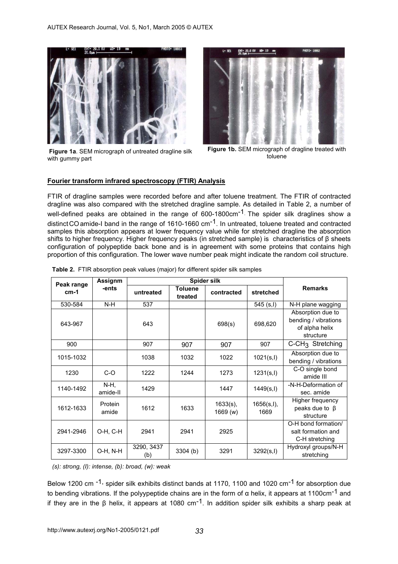

**Figure 1a**. SEM micrograph of untreated dragline silk with gummy part



**Figure 1b.** SEM micrograph of dragline treated with toluene

### **Fourier transform infrared spectroscopy (FTIR) Analysis**

FTIR of dragline samples were recorded before and after toluene treatment. The FTIR of contracted dragline was also compared with the stretched dragline sample. As detailed in Table 2, a number of well-defined peaks are obtained in the range of  $600-1800 \text{cm}^{-1}$ . The spider silk draglines show a distinct CO amide-I band in the range of 1610-1660 cm<sup>-1</sup>. In untreated, toluene treated and contracted samples this absorption appears at lower frequency value while for stretched dragline the absorption shifts to higher frequency. Higher frequency peaks (in stretched sample) is characteristics of β sheets configuration of polypeptide back bone and is in agreement with some proteins that contains high proportion of this configuration. The lower wave number peak might indicate the random coil structure.

|                      | Assignm          | Spider silk       |                           |                         |                     |                                                                          |  |
|----------------------|------------------|-------------------|---------------------------|-------------------------|---------------------|--------------------------------------------------------------------------|--|
| Peak range<br>$cm-1$ | -ents            | untreated         | <b>Toluene</b><br>treated | contracted              | stretched           | <b>Remarks</b>                                                           |  |
| 530-584              | $N-H$            | 537               |                           |                         | $545$ (s,l)         | N-H plane wagging                                                        |  |
| 643-967              |                  | 643               |                           | 698(s)                  | 698,620             | Absorption due to<br>bending / vibrations<br>of alpha helix<br>structure |  |
| 900                  |                  | 907               | 907                       | 907                     | 907                 | C-CH <sub>3</sub> Stretching                                             |  |
| 1015-1032            |                  | 1038              | 1032                      | 1022                    | 1021(s, l)          | Absorption due to<br>bending / vibrations                                |  |
| 1230                 | $C-O$            | 1222              | 1244                      | 1273                    | 1231(s, l)          | C-O single bond<br>amide III                                             |  |
| 1140-1492            | N-H,<br>amide-II | 1429              |                           | 1447                    | 1449(s, l)          | -N-H-Deformation of<br>sec. amide                                        |  |
| 1612-1633            | Protein<br>amide | 1612              | 1633                      | $1633(s)$ ,<br>1669 (w) | 1656(s, l),<br>1669 | Higher frequency<br>peaks due to $\beta$<br>structure                    |  |
| 2941-2946            | O-H, C-H         | 2941              | 2941                      | 2925                    |                     | O-H bond formation/<br>salt formation and<br>C-H stretching              |  |
| 3297-3300            | O-H, N-H         | 3290, 3437<br>(b) | 3304(b)                   | 3291                    | 3292(s, l)          | Hydroxyl groups/N-H<br>stretching                                        |  |

**Table 2.** FTIR absorption peak values (major) for different spider silk samples

*(s): strong, (I): intense, (b): broad, (w): weak* 

Below 1200 cm <sup>-1,</sup> spider silk exhibits distinct bands at 1170, 1100 and 1020 cm<sup>-1</sup> for absorption due to bending vibrations. If the polyypeptide chains are in the form of α helix, it appears at 1100cm<sup>-1</sup> and if they are in the β helix, it appears at 1080 cm<sup>-1</sup>. In addition spider silk exhibits a sharp peak at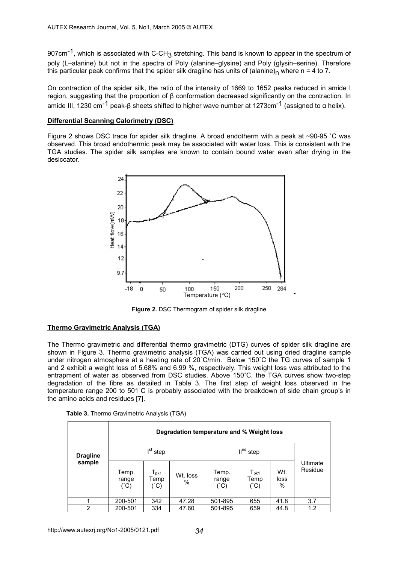907cm<sup>-1</sup>, which is associated with C-CH<sub>3</sub> stretching. This band is known to appear in the spectrum of poly (L–alanine) but not in the spectra of Poly (alanine–glysine) and Poly (glysin–serine). Therefore this particular peak confirms that the spider silk dragline has units of (alanine)<sub>n</sub> where n = 4 to 7.

On contraction of the spider silk, the ratio of the intensity of 1669 to 1652 peaks reduced in amide I region, suggesting that the proportion of β conformation decreased significantly on the contraction. In amide III, 1230 cm<sup>-1</sup> peak-β sheets shifted to higher wave number at 1273cm<sup>-1</sup> (assigned to  $\alpha$  helix).

### **Differential Scanning Calorimetry (DSC)**

Figure 2 shows DSC trace for spider silk dragline. A broad endotherm with a peak at ~90-95 °C was observed. This broad endothermic peak may be associated with water loss. This is consistent with the TGA studies. The spider silk samples are known to contain bound water even after drying in the desiccator.



 **Figure 2.** DSC Thermogram of spider silk dragline

# **Thermo Gravimetric Analysis (TGA)**

The Thermo gravimetric and differential thermo gravimetric (DTG) curves of spider silk dragline are shown in Figure 3. Thermo gravimetric analysis (TGA) was carried out using dried dragline sample under nitrogen atmosphere at a heating rate of 20˚C/min. Below 150˚C the TG curves of sample 1 and 2 exhibit a weight loss of 5.68% and 6.99 %, respectively. This weight loss was attributed to the entrapment of water as observed from DSC studies. Above 150˚C, the TGA curves show two-step degradation of the fibre as detailed in Table 3. The first step of weight loss observed in the temperature range 200 to 501˚C is probably associated with the breakdown of side chain group's in the amino acids and residues [7].

|  |  | Table 3. Thermo Gravimetric Analysis (TGA) |  |  |
|--|--|--------------------------------------------|--|--|
|--|--|--------------------------------------------|--|--|

|                 | Degradation temperature and % Weight loss |                                        |                  |                                 |                                                      |                     |                     |
|-----------------|-------------------------------------------|----------------------------------------|------------------|---------------------------------|------------------------------------------------------|---------------------|---------------------|
| <b>Dragline</b> | $I^{st}$ step                             |                                        |                  | $IInd$ step                     |                                                      |                     |                     |
| sample          | Temp.<br>range<br>$(^{\circ}C)$           | $T_{\sf pk1}$<br>Temp<br>$(^{\circ}C)$ | Wt. loss<br>$\%$ | Temp.<br>range<br>$(^{\circ}C)$ | $\mathsf{T}_{\mathsf{pk1}}$<br>Temp<br>$(^{\circ}C)$ | Wt.<br>loss<br>$\%$ | Ultimate<br>Residue |
|                 | 200-501                                   | 342                                    | 47.28            | 501-895                         | 655                                                  | 41.8                | 3.7                 |
| $\overline{2}$  | 200-501                                   | 334                                    | 47.60            | 501-895                         | 659                                                  | 44.8                | 1.2                 |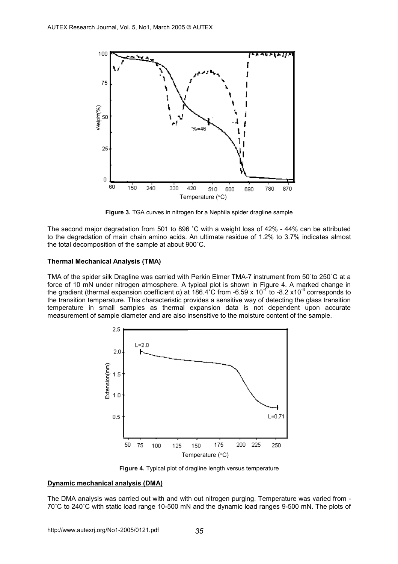

**Figure 3.** TGA curves in nitrogen for a Nephila spider dragline sample

The second major degradation from 501 to 896 ˚C with a weight loss of 42% - 44% can be attributed to the degradation of main chain amino acids. An ultimate residue of 1.2% to 3.7% indicates almost the total decomposition of the sample at about 900˚C.

#### **Thermal Mechanical Analysis (TMA)**

TMA of the spider silk Dragline was carried with Perkin Elmer TMA-7 instrument from 50˚to 250˚C at a force of 10 mN under nitrogen atmosphere. A typical plot is shown in Figure 4. A marked change in the gradient (thermal expansion coefficient α) at 186.4°C from -6.59 x 10<sup>-4</sup> to -8.2 x10<sup>-3</sup> corresponds to the transition temperature. This characteristic provides a sensitive way of detecting the glass transition temperature in small samples as thermal expansion data is not dependent upon accurate measurement of sample diameter and are also insensitive to the moisture content of the sample.



**Figure 4.** Typical plot of dragline length versus temperature

#### **Dynamic mechanical analysis (DMA)**

The DMA analysis was carried out with and with out nitrogen purging. Temperature was varied from - 70˚C to 240˚C with static load range 10-500 mN and the dynamic load ranges 9-500 mN. The plots of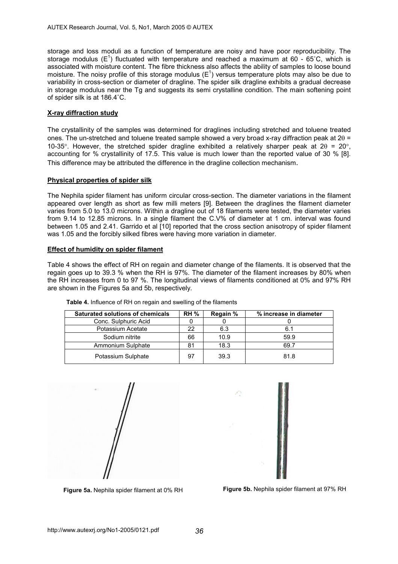storage and loss moduli as a function of temperature are noisy and have poor reproducibility. The storage modulus (E<sup>1</sup>) fluctuated with temperature and reached a maximum at 60 - 65°C, which is associated with moisture content. The fibre thickness also affects the ability of samples to loose bound moisture. The noisy profile of this storage modulus ( $E^1$ ) versus temperature plots may also be due to variability in cross-section or diameter of dragline. The spider silk dragline exhibits a gradual decrease in storage modulus near the Tg and suggests its semi crystalline condition. The main softening point of spider silk is at 186.4˚C.

# **X-ray diffraction study**

The crystallinity of the samples was determined for draglines including stretched and toluene treated ones. The un-stretched and toluene treated sample showed a very broad x-ray diffraction peak at 2θ = 10-35°. However, the stretched spider dragline exhibited a relatively sharper peak at  $2\theta = 20^\circ$ , accounting for % crystallinity of 17.5. This value is much lower than the reported value of 30 % [8]. This difference may be attributed the difference in the dragline collection mechanism.

#### **Physical properties of spider silk**

The Nephila spider filament has uniform circular cross-section. The diameter variations in the filament appeared over length as short as few milli meters [9]. Between the draglines the filament diameter varies from 5.0 to 13.0 microns. Within a dragline out of 18 filaments were tested, the diameter varies from 9.14 to 12.85 microns. In a single filament the C.V% of diameter at 1 cm. interval was found between 1.05 and 2.41. Garrido et al [10] reported that the cross section anisotropy of spider filament was 1.05 and the forcibly silked fibres were having more variation in diameter.

# **Effect of humidity on spider filament**

Table 4 shows the effect of RH on regain and diameter change of the filaments. It is observed that the regain goes up to 39.3 % when the RH is 97%. The diameter of the filament increases by 80% when the RH increases from 0 to 97 %. The longitudinal views of filaments conditioned at 0% and 97% RH are shown in the Figures 5a and 5b, respectively.

| <b>Saturated solutions of chemicals</b> | <b>RH %</b> | Regain % | % increase in diameter |
|-----------------------------------------|-------------|----------|------------------------|
| Conc. Sulphuric Acid                    |             |          |                        |
| Potassium Acetate                       | 22          | 6.3      | 6.1                    |
| Sodium nitrite                          | 66          | 10.9     | 59.9                   |
| Ammonium Sulphate                       | 81          | 18.3     | 69.7                   |
| Potassium Sulphate                      | 97          | 39.3     | 81.8                   |

**Table 4.** Influence of RH on regain and swelling of the filaments





**Figure 5a.** Nephila spider filament at 0% RH **Figure 5b.** Nephila spider filament at 97% RH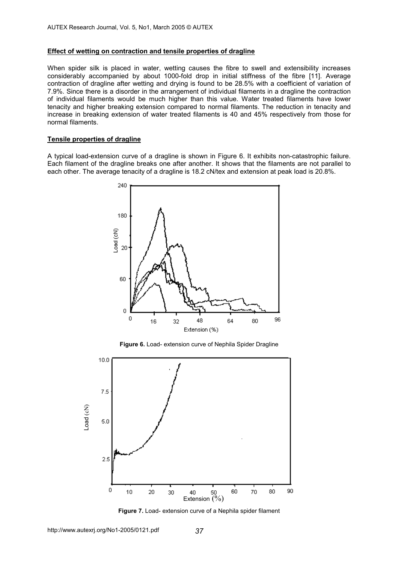#### **Effect of wetting on contraction and tensile properties of dragline**

When spider silk is placed in water, wetting causes the fibre to swell and extensibility increases considerably accompanied by about 1000-fold drop in initial stiffness of the fibre [11]. Average contraction of dragline after wetting and drying is found to be 28.5% with a coefficient of variation of 7.9%. Since there is a disorder in the arrangement of individual filaments in a dragline the contraction of individual filaments would be much higher than this value. Water treated filaments have lower tenacity and higher breaking extension compared to normal filaments. The reduction in tenacity and increase in breaking extension of water treated filaments is 40 and 45% respectively from those for normal filaments.

#### **Tensile properties of dragline**

A typical load-extension curve of a dragline is shown in Figure 6. It exhibits non-catastrophic failure. Each filament of the dragline breaks one after another. It shows that the filaments are not parallel to each other. The average tenacity of a dragline is 18.2 cN/tex and extension at peak load is 20.8%.



**Figure 6.** Load- extension curve of Nephila Spider Dragline



**Figure 7.** Load- extension curve of a Nephila spider filament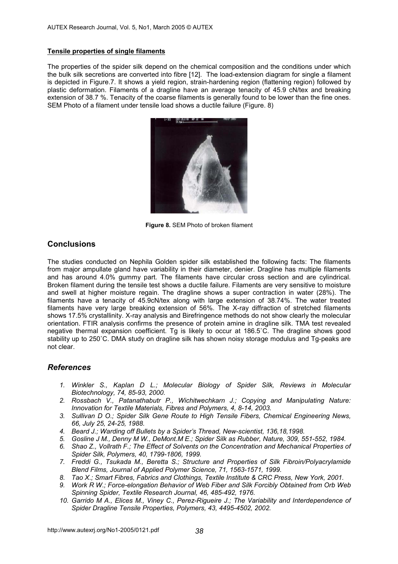# **Tensile properties of single filaments**

The properties of the spider silk depend on the chemical composition and the conditions under which the bulk silk secretions are converted into fibre [12]. The load-extension diagram for single a filament is depicted in Figure.7. It shows a yield region, strain-hardening region (flattening region) followed by plastic deformation. Filaments of a dragline have an average tenacity of 45.9 cN/tex and breaking extension of 38.7 %. Tenacity of the coarse filaments is generally found to be lower than the fine ones. SEM Photo of a filament under tensile load shows a ductile failure (Figure. 8)



**Figure 8.** SEM Photo of broken filament

# **Conclusions**

The studies conducted on Nephila Golden spider silk established the following facts: The filaments from major ampullate gland have variability in their diameter, denier. Dragline has multiple filaments and has around 4.0% gummy part. The filaments have circular cross section and are cylindrical. Broken filament during the tensile test shows a ductile failure. Filaments are very sensitive to moisture and swell at higher moisture regain. The dragline shows a super contraction in water (28%). The filaments have a tenacity of 45.9cN/tex along with large extension of 38.74%. The water treated filaments have very large breaking extension of 56%. The X-ray diffraction of stretched filaments shows 17.5% crystallinity. X-ray analysis and Birefringence methods do not show clearly the molecular orientation. FTIR analysis confirms the presence of protein amine in dragline silk. TMA test revealed negative thermal expansion coefficient. Tg is likely to occur at 186.5˚C. The dragline shows good stability up to 250˚C. DMA study on dragline silk has shown noisy storage modulus and Tg-peaks are not clear.

# *References*

- *1. Winkler S., Kaplan D L.; Molecular Biology of Spider Silk, Reviews in Molecular Biotechnology, 74, 85-93, 2000.*
- *2. Rossbach V., Patanathabutr P., Wichitwechkarn J.; Copying and Manipulating Nature: Innovation for Textile Materials, Fibres and Polymers, 4, 8-14, 2003.*
- *3. Sullivan D O.; Spider Silk Gene Route to High Tensile Fibers, Chemical Engineering News, 66, July 25, 24-25, 1988.*
- *4. Beard J.; Warding off Bullets by a Spider's Thread, New-scientist, 136,18,1998.*
- *5. Gosline J M., Denny M W., DeMont.M E.; Spider Silk as Rubber, Nature, 309, 551-552, 1984.*
- *6. Shao Z., Vollrath F.; The Effect of Solvents on the Concentration and Mechanical Properties of Spider Silk, Polymers, 40, 1799-1806, 1999.*
- *7. Freddi G., Tsukada M., Beretta S.; Structure and Properties of Silk Fibroin/Polyacrylamide Blend Films, Journal of Applied Polymer Science, 71, 1563-1571, 1999.*
- *8. Tao X.; Smart Fibres, Fabrics and Clothings, Textile Institute & CRC Press, New York, 2001.*
- *9. Work R W.; Force-elongation Behavior of Web Fiber and Silk Forcibly Obtained from Orb Web Spinning Spider, Textile Research Journal, 46, 485-492, 1976.*
- *10. Garrido M A., Elices M., Viney C., Perez-Rigueire J.; The Variability and Interdependence of Spider Dragline Tensile Properties, Polymers, 43, 4495-4502, 2002.*